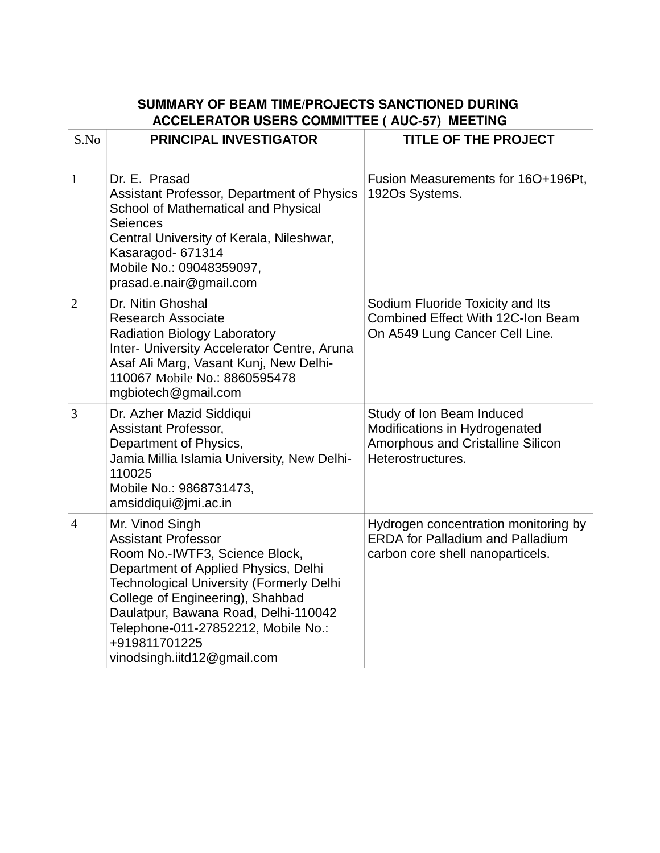## **SUMMARY OF BEAM TIME/PROJECTS SANCTIONED DURING ACCELERATOR USERS COMMITTEE ( AUC-57) MEETING**

| S.No           | <b>PRINCIPAL INVESTIGATOR</b>                                                                                                                                                                                                                                                                                                                 | <b>TITLE OF THE PROJECT</b>                                                                                          |
|----------------|-----------------------------------------------------------------------------------------------------------------------------------------------------------------------------------------------------------------------------------------------------------------------------------------------------------------------------------------------|----------------------------------------------------------------------------------------------------------------------|
| $\mathbf{1}$   | Dr. E. Prasad<br>Assistant Professor, Department of Physics<br>School of Mathematical and Physical<br>Seiences<br>Central University of Kerala, Nileshwar,<br>Kasaragod- 671314<br>Mobile No.: 09048359097,<br>prasad.e.nair@gmail.com                                                                                                        | Fusion Measurements for 16O+196Pt,<br>192Os Systems.                                                                 |
| $\overline{2}$ | Dr. Nitin Ghoshal<br><b>Research Associate</b><br><b>Radiation Biology Laboratory</b><br>Inter- University Accelerator Centre, Aruna<br>Asaf Ali Marg, Vasant Kunj, New Delhi-<br>110067 Mobile No.: 8860595478<br>mgbiotech@gmail.com                                                                                                        | Sodium Fluoride Toxicity and Its<br>Combined Effect With 12C-Ion Beam<br>On A549 Lung Cancer Cell Line.              |
| 3              | Dr. Azher Mazid Siddiqui<br><b>Assistant Professor,</b><br>Department of Physics,<br>Jamia Millia Islamia University, New Delhi-<br>110025<br>Mobile No.: 9868731473,<br>amsiddiqui@jmi.ac.in                                                                                                                                                 | Study of Ion Beam Induced<br>Modifications in Hydrogenated<br>Amorphous and Cristalline Silicon<br>Heterostructures. |
| $\overline{4}$ | Mr. Vinod Singh<br><b>Assistant Professor</b><br>Room No.-IWTF3, Science Block,<br>Department of Applied Physics, Delhi<br><b>Technological University (Formerly Delhi</b><br>College of Engineering), Shahbad<br>Daulatpur, Bawana Road, Delhi-110042<br>Telephone-011-27852212, Mobile No.:<br>+919811701225<br>vinodsingh.iitd12@gmail.com | Hydrogen concentration monitoring by<br><b>ERDA for Palladium and Palladium</b><br>carbon core shell nanoparticels.  |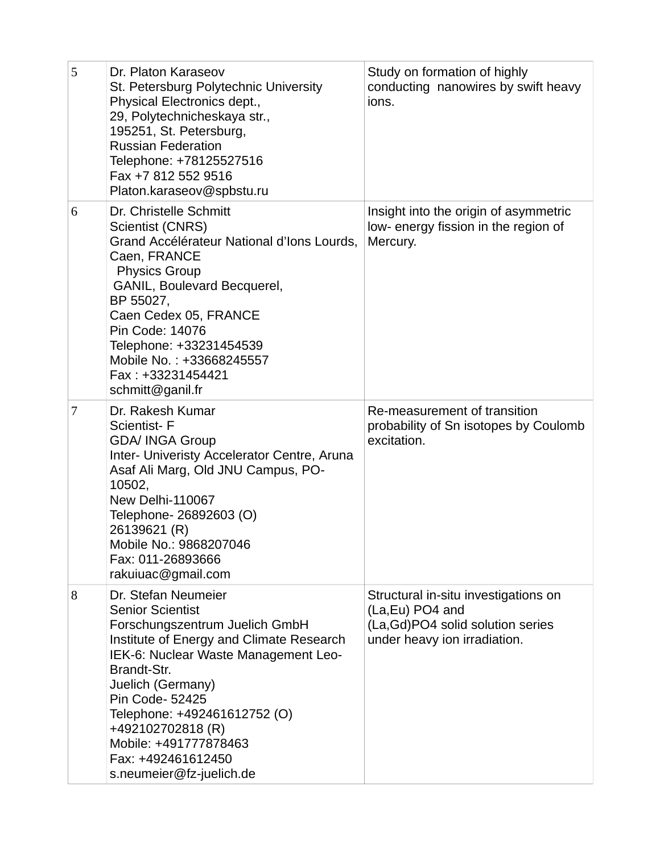| 5 | Dr. Platon Karaseov<br>St. Petersburg Polytechnic University<br>Physical Electronics dept.,<br>29, Polytechnicheskaya str.,<br>195251, St. Petersburg,<br><b>Russian Federation</b><br>Telephone: +78125527516<br>Fax +7 812 552 9516<br>Platon.karaseov@spbstu.ru                                                                                          | Study on formation of highly<br>conducting nanowires by swift heavy<br>ions.                                                   |
|---|-------------------------------------------------------------------------------------------------------------------------------------------------------------------------------------------------------------------------------------------------------------------------------------------------------------------------------------------------------------|--------------------------------------------------------------------------------------------------------------------------------|
| 6 | Dr. Christelle Schmitt<br><b>Scientist (CNRS)</b><br>Grand Accélérateur National d'Ions Lourds,<br>Caen, FRANCE<br><b>Physics Group</b><br>GANIL, Boulevard Becquerel,<br>BP 55027,<br>Caen Cedex 05, FRANCE<br>Pin Code: 14076<br>Telephone: +33231454539<br>Mobile No.: +33668245557<br>Fax: +33231454421<br>schmitt@ganil.fr                             | Insight into the origin of asymmetric<br>low- energy fission in the region of<br>Mercury.                                      |
| 7 | Dr. Rakesh Kumar<br><b>Scientist-F</b><br><b>GDA/ INGA Group</b><br>Inter- Univeristy Accelerator Centre, Aruna<br>Asaf Ali Marg, Old JNU Campus, PO-<br>10502,<br>New Delhi-110067<br>Telephone- 26892603 (O)<br>26139621 (R)<br>Mobile No.: 9868207046<br>Fax: 011-26893666<br>rakuiuac@gmail.com                                                         | Re-measurement of transition<br>probability of Sn isotopes by Coulomb<br>excitation.                                           |
| 8 | Dr. Stefan Neumeier<br><b>Senior Scientist</b><br>Forschungszentrum Juelich GmbH<br>Institute of Energy and Climate Research<br>IEK-6: Nuclear Waste Management Leo-<br>Brandt-Str.<br>Juelich (Germany)<br>Pin Code- 52425<br>Telephone: +492461612752 (O)<br>+492102702818 (R)<br>Mobile: +491777878463<br>Fax: +492461612450<br>s.neumeier@fz-juelich.de | Structural in-situ investigations on<br>(La, Eu) PO4 and<br>(La, Gd) PO4 solid solution series<br>under heavy ion irradiation. |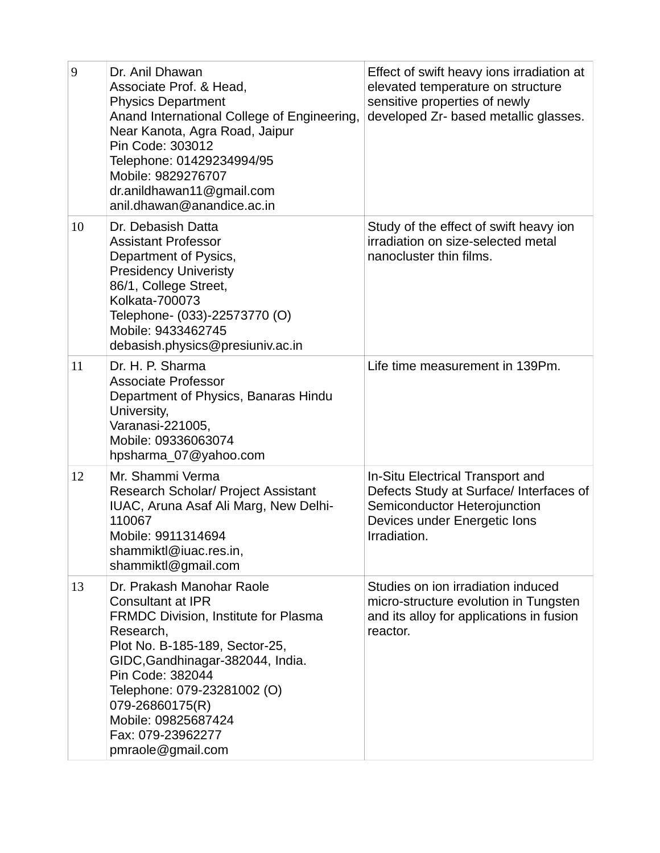| 9  | Dr. Anil Dhawan<br>Associate Prof. & Head,<br><b>Physics Department</b><br>Anand International College of Engineering,<br>Near Kanota, Agra Road, Jaipur<br>Pin Code: 303012<br>Telephone: 01429234994/95<br>Mobile: 9829276707<br>dr.anildhawan11@gmail.com<br>anil.dhawan@anandice.ac.in                              | Effect of swift heavy ions irradiation at<br>elevated temperature on structure<br>sensitive properties of newly<br>developed Zr- based metallic glasses.    |
|----|-------------------------------------------------------------------------------------------------------------------------------------------------------------------------------------------------------------------------------------------------------------------------------------------------------------------------|-------------------------------------------------------------------------------------------------------------------------------------------------------------|
| 10 | Dr. Debasish Datta<br><b>Assistant Professor</b><br>Department of Pysics,<br><b>Presidency Univeristy</b><br>86/1, College Street,<br>Kolkata-700073<br>Telephone- (033)-22573770 (O)<br>Mobile: 9433462745<br>debasish.physics@presiuniv.ac.in                                                                         | Study of the effect of swift heavy ion<br>irradiation on size-selected metal<br>nanocluster thin films.                                                     |
| 11 | Dr. H. P. Sharma<br><b>Associate Professor</b><br>Department of Physics, Banaras Hindu<br>University,<br>Varanasi-221005,<br>Mobile: 09336063074<br>hpsharma 07@yahoo.com                                                                                                                                               | Life time measurement in 139Pm.                                                                                                                             |
| 12 | Mr. Shammi Verma<br>Research Scholar/ Project Assistant<br>IUAC, Aruna Asaf Ali Marg, New Delhi-<br>110067<br>Mobile: 9911314694<br>shammiktl@iuac.res.in,<br>shammiktl@gmail.com                                                                                                                                       | In-Situ Electrical Transport and<br>Defects Study at Surface/ Interfaces of<br>Semiconductor Heterojunction<br>Devices under Energetic Ions<br>Irradiation. |
| 13 | Dr. Prakash Manohar Raole<br><b>Consultant at IPR</b><br>FRMDC Division, Institute for Plasma<br>Research,<br>Plot No. B-185-189, Sector-25,<br>GIDC, Gandhinagar-382044, India.<br>Pin Code: 382044<br>Telephone: 079-23281002 (O)<br>079-26860175(R)<br>Mobile: 09825687424<br>Fax: 079-23962277<br>pmraole@gmail.com | Studies on ion irradiation induced<br>micro-structure evolution in Tungsten<br>and its alloy for applications in fusion<br>reactor.                         |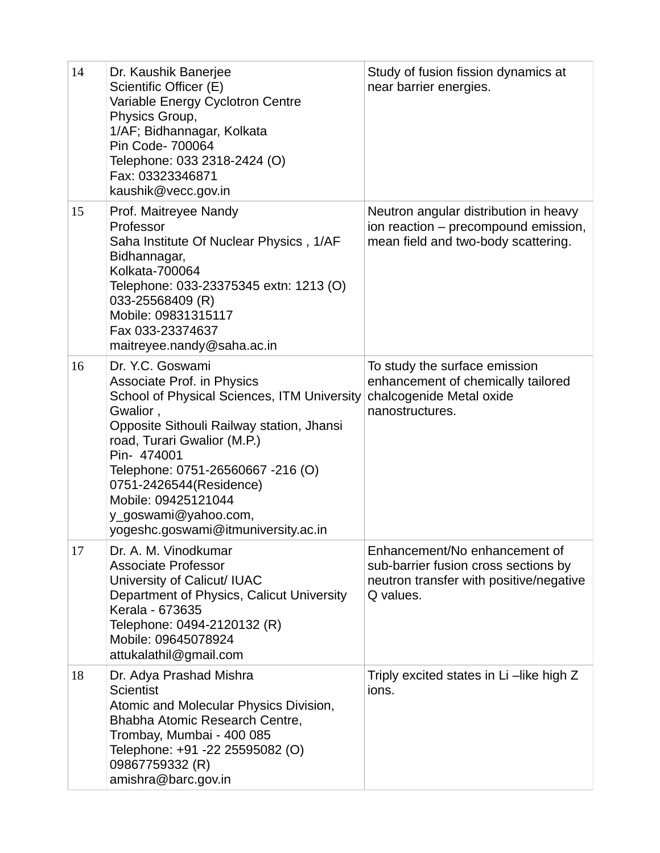| 14 | Dr. Kaushik Banerjee<br>Scientific Officer (E)<br>Variable Energy Cyclotron Centre<br>Physics Group,<br>1/AF; Bidhannagar, Kolkata<br>Pin Code- 700064<br>Telephone: 033 2318-2424 (O)<br>Fax: 03323346871<br>kaushik@vecc.gov.in                                                                                                                                 | Study of fusion fission dynamics at<br>near barrier energies.                                                                 |
|----|-------------------------------------------------------------------------------------------------------------------------------------------------------------------------------------------------------------------------------------------------------------------------------------------------------------------------------------------------------------------|-------------------------------------------------------------------------------------------------------------------------------|
| 15 | Prof. Maitreyee Nandy<br>Professor<br>Saha Institute Of Nuclear Physics, 1/AF<br>Bidhannagar,<br>Kolkata-700064<br>Telephone: 033-23375345 extn: 1213 (O)<br>033-25568409 (R)<br>Mobile: 09831315117<br>Fax 033-23374637<br>maitreyee.nandy@saha.ac.in                                                                                                            | Neutron angular distribution in heavy<br>ion reaction - precompound emission,<br>mean field and two-body scattering.          |
| 16 | Dr. Y.C. Goswami<br><b>Associate Prof. in Physics</b><br>School of Physical Sciences, ITM University<br>Gwalior,<br>Opposite Sithouli Railway station, Jhansi<br>road, Turari Gwalior (M.P.)<br>Pin- 474001<br>Telephone: 0751-26560667 -216 (O)<br>0751-2426544(Residence)<br>Mobile: 09425121044<br>y goswami@yahoo.com,<br>yogeshc.goswami@itmuniversity.ac.in | To study the surface emission<br>enhancement of chemically tailored<br>chalcogenide Metal oxide<br>nanostructures.            |
| 17 | Dr. A. M. Vinodkumar<br><b>Associate Professor</b><br>University of Calicut/ IUAC<br>Department of Physics, Calicut University<br>Kerala - 673635<br>Telephone: 0494-2120132 (R)<br>Mobile: 09645078924<br>attukalathil@gmail.com                                                                                                                                 | Enhancement/No enhancement of<br>sub-barrier fusion cross sections by<br>neutron transfer with positive/negative<br>Q values. |
| 18 | Dr. Adya Prashad Mishra<br><b>Scientist</b><br>Atomic and Molecular Physics Division,<br>Bhabha Atomic Research Centre,<br>Trombay, Mumbai - 400 085<br>Telephone: +91 -22 25595082 (O)<br>09867759332 (R)<br>amishra@barc.gov.in                                                                                                                                 | Triply excited states in Li-like high Z<br>ions.                                                                              |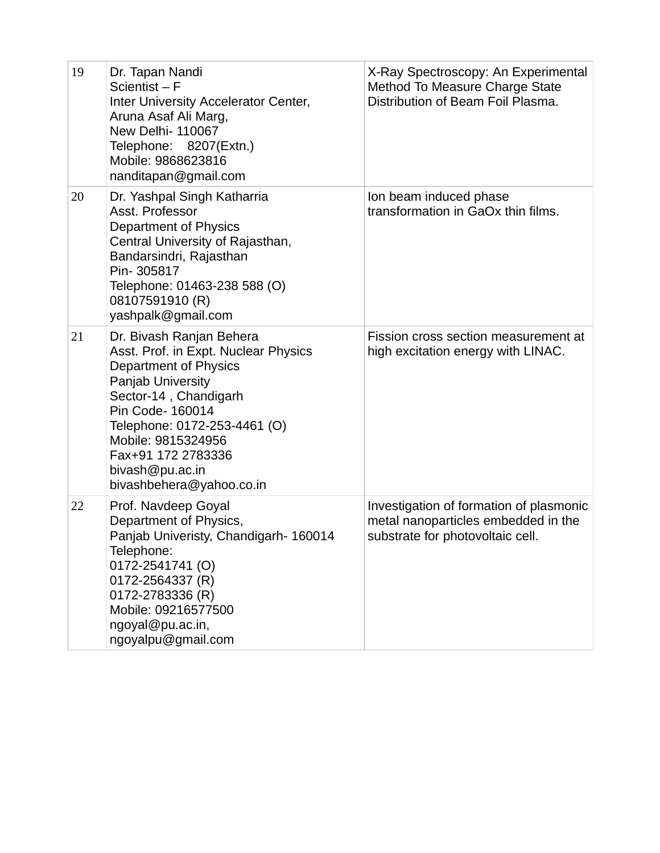| 19 | Dr. Tapan Nandi<br>Scientist-F<br>Inter University Accelerator Center,<br>Aruna Asaf Ali Marg,<br>New Delhi- 110067<br>Telephone: 8207(Extn.)<br>Mobile: 9868623816<br>nanditapan@gmail.com                                                                                                   | X-Ray Spectroscopy: An Experimental<br>Method To Measure Charge State<br>Distribution of Beam Foil Plasma.         |
|----|-----------------------------------------------------------------------------------------------------------------------------------------------------------------------------------------------------------------------------------------------------------------------------------------------|--------------------------------------------------------------------------------------------------------------------|
| 20 | Dr. Yashpal Singh Katharria<br>Asst. Professor<br>Department of Physics<br>Central University of Rajasthan,<br>Bandarsindri, Rajasthan<br>Pin-305817<br>Telephone: 01463-238 588 (O)<br>08107591910 (R)<br>yashpalk@gmail.com                                                                 | Ion beam induced phase<br>transformation in GaOx thin films.                                                       |
| 21 | Dr. Bivash Ranjan Behera<br>Asst. Prof. in Expt. Nuclear Physics<br><b>Department of Physics</b><br>Panjab University<br>Sector-14, Chandigarh<br>Pin Code- 160014<br>Telephone: 0172-253-4461 (O)<br>Mobile: 9815324956<br>Fax+91 172 2783336<br>bivash@pu.ac.in<br>bivashbehera@yahoo.co.in | Fission cross section measurement at<br>high excitation energy with LINAC.                                         |
| 22 | Prof. Navdeep Goyal<br>Department of Physics,<br>Panjab Univeristy, Chandigarh- 160014<br>Telephone:<br>0172-2541741 (O)<br>0172-2564337 (R)<br>0172-2783336 (R)<br>Mobile: 09216577500<br>ngoyal@pu.ac.in,<br>ngoyalpu@gmail.com                                                             | Investigation of formation of plasmonic<br>metal nanoparticles embedded in the<br>substrate for photovoltaic cell. |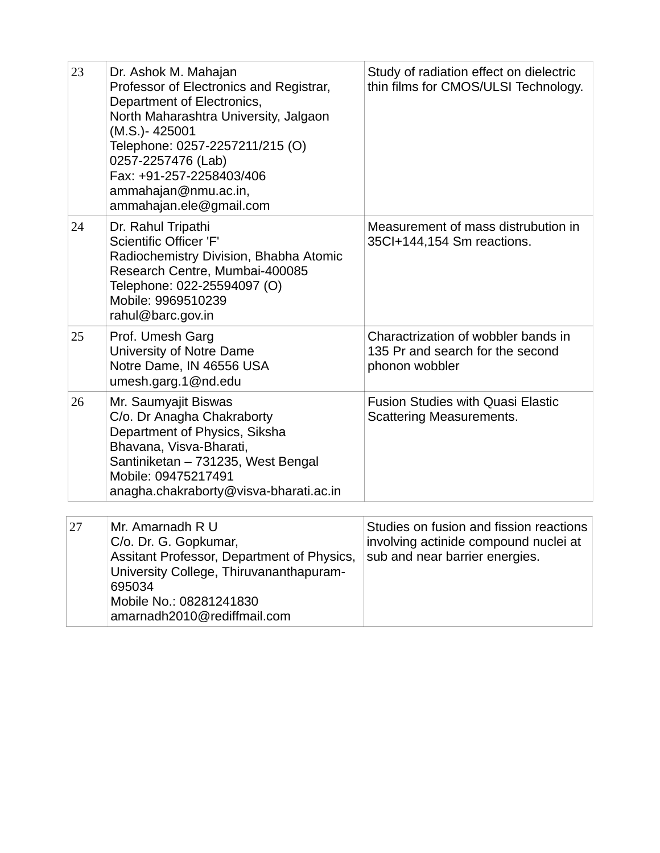| 23 | Dr. Ashok M. Mahajan<br>Professor of Electronics and Registrar,<br>Department of Electronics,<br>North Maharashtra University, Jalgaon<br>(M.S.)-425001<br>Telephone: 0257-2257211/215 (O)<br>0257-2257476 (Lab)<br>Fax: +91-257-2258403/406<br>ammahajan@nmu.ac.in,<br>ammahajan.ele@gmail.com | Study of radiation effect on dielectric<br>thin films for CMOS/ULSI Technology.                                    |
|----|-------------------------------------------------------------------------------------------------------------------------------------------------------------------------------------------------------------------------------------------------------------------------------------------------|--------------------------------------------------------------------------------------------------------------------|
| 24 | Dr. Rahul Tripathi<br><b>Scientific Officer 'F'</b><br>Radiochemistry Division, Bhabha Atomic<br>Research Centre, Mumbai-400085<br>Telephone: 022-25594097 (O)<br>Mobile: 9969510239<br>rahul@barc.gov.in                                                                                       | Measurement of mass distrubution in<br>35Cl+144,154 Sm reactions.                                                  |
| 25 | Prof. Umesh Garg<br>University of Notre Dame<br>Notre Dame, IN 46556 USA<br>umesh.garg.1@nd.edu                                                                                                                                                                                                 | Charactrization of wobbler bands in<br>135 Pr and search for the second<br>phonon wobbler                          |
| 26 | Mr. Saumyajit Biswas<br>C/o. Dr Anagha Chakraborty<br>Department of Physics, Siksha<br>Bhavana, Visva-Bharati,<br>Santiniketan - 731235, West Bengal<br>Mobile: 09475217491<br>anagha.chakraborty@visva-bharati.ac.in                                                                           | <b>Fusion Studies with Quasi Elastic</b><br>Scattering Measurements.                                               |
| 27 | Mr. Amarnadh R U<br>C/o. Dr. G. Gopkumar,<br>Assitant Professor, Department of Physics,<br>University College, Thiruvananthapuram-<br>695034<br>Mobile No.: 08281241830<br>amarnadh2010@rediffmail.com                                                                                          | Studies on fusion and fission reactions<br>involving actinide compound nuclei at<br>sub and near barrier energies. |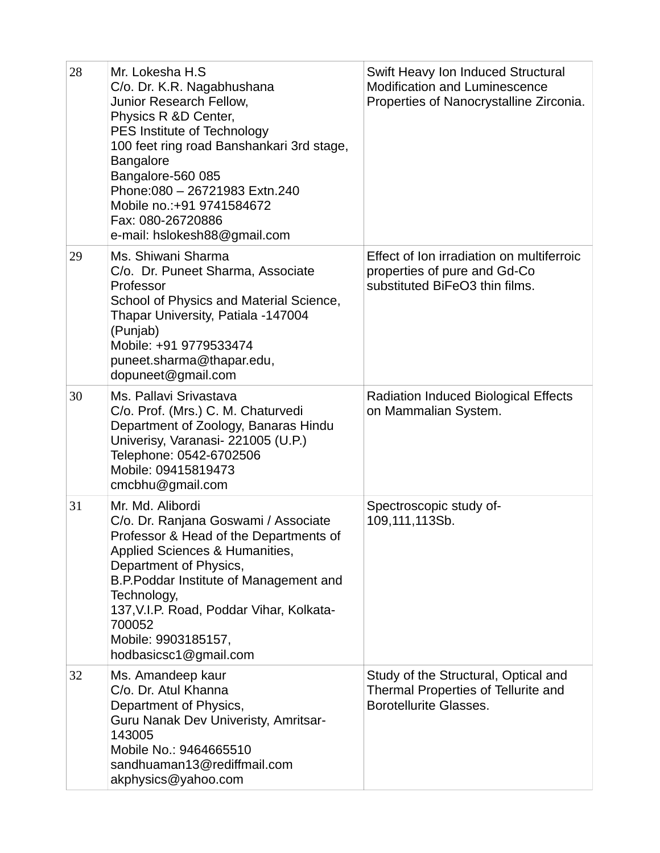| 28 | Mr. Lokesha H.S<br>C/o. Dr. K.R. Nagabhushana<br>Junior Research Fellow,<br>Physics R &D Center,<br>PES Institute of Technology<br>100 feet ring road Banshankari 3rd stage,<br><b>Bangalore</b><br>Bangalore-560 085<br>Phone: 080 - 26721983 Extn. 240<br>Mobile no.: +91 9741584672<br>Fax: 080-26720886<br>e-mail: hslokesh88@gmail.com | Swift Heavy Ion Induced Structural<br><b>Modification and Luminescence</b><br>Properties of Nanocrystalline Zirconia. |
|----|---------------------------------------------------------------------------------------------------------------------------------------------------------------------------------------------------------------------------------------------------------------------------------------------------------------------------------------------|-----------------------------------------------------------------------------------------------------------------------|
| 29 | Ms. Shiwani Sharma<br>C/o. Dr. Puneet Sharma, Associate<br>Professor<br>School of Physics and Material Science,<br>Thapar University, Patiala -147004<br>(Punjab)<br>Mobile: +91 9779533474<br>puneet.sharma@thapar.edu,<br>dopuneet@gmail.com                                                                                              | Effect of Ion irradiation on multiferroic<br>properties of pure and Gd-Co<br>substituted BiFeO3 thin films.           |
| 30 | Ms. Pallavi Srivastava<br>C/o. Prof. (Mrs.) C. M. Chaturvedi<br>Department of Zoology, Banaras Hindu<br>Univerisy, Varanasi- 221005 (U.P.)<br>Telephone: 0542-6702506<br>Mobile: 09415819473<br>cmcbhu@gmail.com                                                                                                                            | Radiation Induced Biological Effects<br>on Mammalian System.                                                          |
| 31 | Mr. Md. Alibordi<br>C/o. Dr. Ranjana Goswami / Associate<br>Professor & Head of the Departments of<br>Applied Sciences & Humanities,<br>Department of Physics,<br>B.P.Poddar Institute of Management and<br>Technology,<br>137, V.I.P. Road, Poddar Vihar, Kolkata-<br>700052<br>Mobile: 9903185157,<br>hodbasicsc1@gmail.com               | Spectroscopic study of-<br>109,111,113Sb.                                                                             |
| 32 | Ms. Amandeep kaur<br>C/o. Dr. Atul Khanna<br>Department of Physics,<br>Guru Nanak Dev Univeristy, Amritsar-<br>143005<br>Mobile No.: 9464665510<br>sandhuaman13@rediffmail.com<br>akphysics@yahoo.com                                                                                                                                       | Study of the Structural, Optical and<br>Thermal Properties of Tellurite and<br><b>Borotellurite Glasses.</b>          |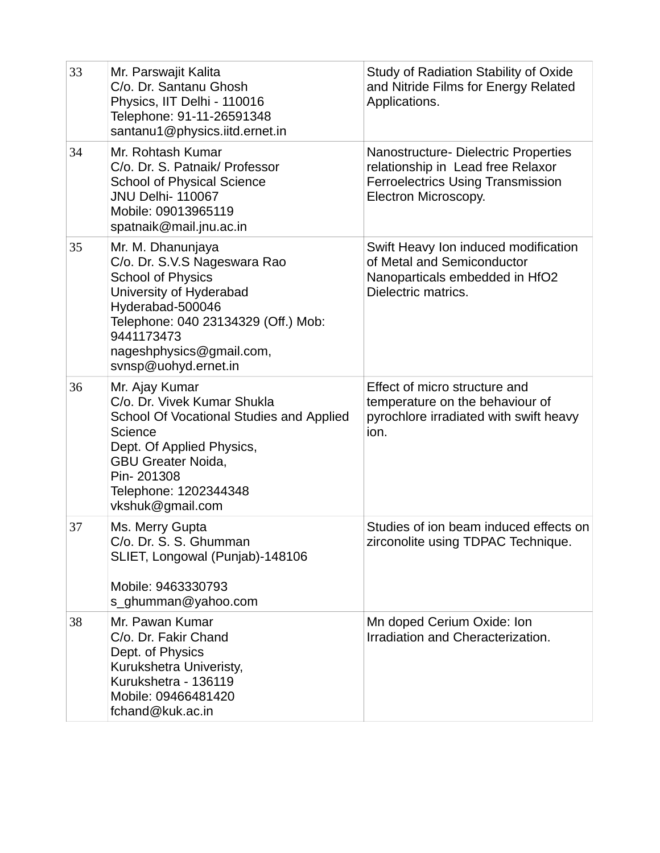| 33 | Mr. Parswajit Kalita<br>C/o. Dr. Santanu Ghosh<br>Physics, IIT Delhi - 110016<br>Telephone: 91-11-26591348<br>santanu1@physics.iitd.ernet.in                                                                                          | Study of Radiation Stability of Oxide<br>and Nitride Films for Energy Related<br>Applications.                                         |
|----|---------------------------------------------------------------------------------------------------------------------------------------------------------------------------------------------------------------------------------------|----------------------------------------------------------------------------------------------------------------------------------------|
| 34 | Mr. Rohtash Kumar<br>C/o. Dr. S. Patnaik/ Professor<br><b>School of Physical Science</b><br><b>JNU Delhi- 110067</b><br>Mobile: 09013965119<br>spatnaik@mail.jnu.ac.in                                                                | Nanostructure- Dielectric Properties<br>relationship in Lead free Relaxor<br>Ferroelectrics Using Transmission<br>Electron Microscopy. |
| 35 | Mr. M. Dhanunjaya<br>C/o. Dr. S.V.S Nageswara Rao<br><b>School of Physics</b><br>University of Hyderabad<br>Hyderabad-500046<br>Telephone: 040 23134329 (Off.) Mob:<br>9441173473<br>nageshphysics@gmail.com,<br>svnsp@uohyd.ernet.in | Swift Heavy Ion induced modification<br>of Metal and Semiconductor<br>Nanoparticals embedded in HfO2<br>Dielectric matrics.            |
| 36 | Mr. Ajay Kumar<br>C/o. Dr. Vivek Kumar Shukla<br>School Of Vocational Studies and Applied<br>Science<br>Dept. Of Applied Physics,<br><b>GBU Greater Noida,</b><br>Pin-201308<br>Telephone: 1202344348<br>vkshuk@gmail.com             | Effect of micro structure and<br>temperature on the behaviour of<br>pyrochlore irradiated with swift heavy<br>ion.                     |
| 37 | Ms. Merry Gupta<br>C/o. Dr. S. S. Ghumman<br>SLIET, Longowal (Punjab)-148106<br>Mobile: 9463330793<br>s ghumman@yahoo.com                                                                                                             | Studies of ion beam induced effects on<br>zirconolite using TDPAC Technique.                                                           |
| 38 | Mr. Pawan Kumar<br>C/o. Dr. Fakir Chand<br>Dept. of Physics<br>Kurukshetra Univeristy,<br>Kurukshetra - 136119<br>Mobile: 09466481420<br>fchand@kuk.ac.in                                                                             | Mn doped Cerium Oxide: Ion<br>Irradiation and Cheracterization.                                                                        |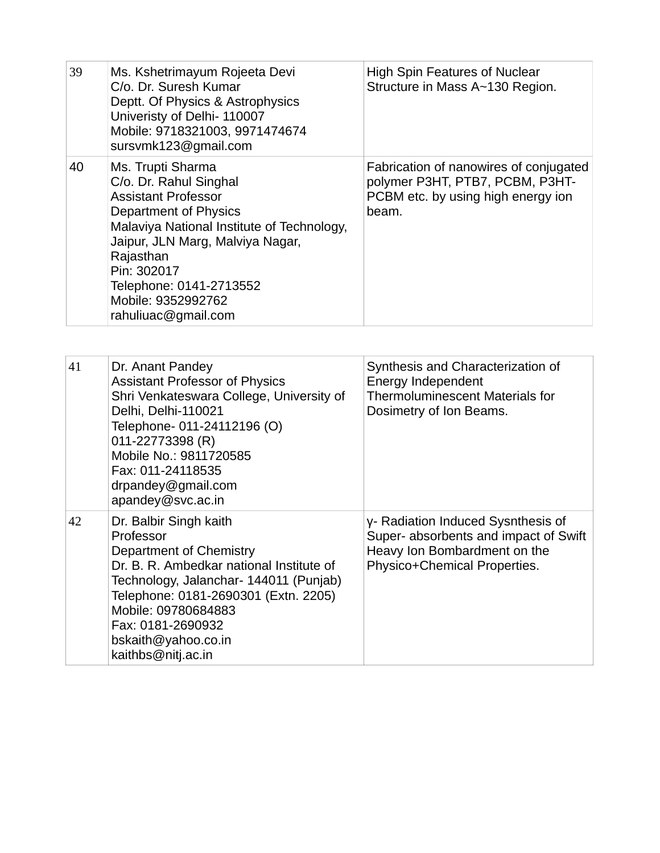| 39 | Ms. Kshetrimayum Rojeeta Devi<br>C/o. Dr. Suresh Kumar<br>Deptt. Of Physics & Astrophysics<br>Univeristy of Delhi- 110007<br>Mobile: 9718321003, 9971474674<br>sursvmk123@gmail.com                                                                                                      | <b>High Spin Features of Nuclear</b><br>Structure in Mass A~130 Region.                                                      |
|----|------------------------------------------------------------------------------------------------------------------------------------------------------------------------------------------------------------------------------------------------------------------------------------------|------------------------------------------------------------------------------------------------------------------------------|
| 40 | Ms. Trupti Sharma<br>C/o. Dr. Rahul Singhal<br><b>Assistant Professor</b><br>Department of Physics<br>Malaviya National Institute of Technology,<br>Jaipur, JLN Marg, Malviya Nagar,<br>Rajasthan<br>Pin: 302017<br>Telephone: 0141-2713552<br>Mobile: 9352992762<br>rahuliuac@gmail.com | Fabrication of nanowires of conjugated<br>polymer P3HT, PTB7, PCBM, P3HT-<br>PCBM etc. by using high energy ion<br>beam.     |
|    |                                                                                                                                                                                                                                                                                          |                                                                                                                              |
| 41 | Dr. Anant Pandey<br><b>Assistant Professor of Physics</b><br>Shri Venkateswara College, University of<br>Delhi, Delhi-110021<br>Telephone- 011-24112196 (O)<br>011-22773398 (R)<br>Mobilo No · 0011790E0E                                                                                | Synthesis and Characterization of<br>Energy Independent<br><b>Thermoluminescent Materials for</b><br>Dosimetry of Ion Beams. |

|    | Mobile No.: 9811720585<br>Fax: 011-24118535<br>drpandey@gmail.com<br>apandey@svc.ac.in                                                                                                                                                                                                |                                                                                                                                             |
|----|---------------------------------------------------------------------------------------------------------------------------------------------------------------------------------------------------------------------------------------------------------------------------------------|---------------------------------------------------------------------------------------------------------------------------------------------|
| 42 | Dr. Balbir Singh kaith<br>Professor<br>Department of Chemistry<br>Dr. B. R. Ambedkar national Institute of<br>Technology, Jalanchar- 144011 (Punjab)<br>Telephone: 0181-2690301 (Extn. 2205)<br>Mobile: 09780684883<br>Fax: 0181-2690932<br>bskaith@yahoo.co.in<br>kaithbs@nitj.ac.in | y- Radiation Induced Sysnthesis of<br>Super- absorbents and impact of Swift<br>Heavy Ion Bombardment on the<br>Physico+Chemical Properties. |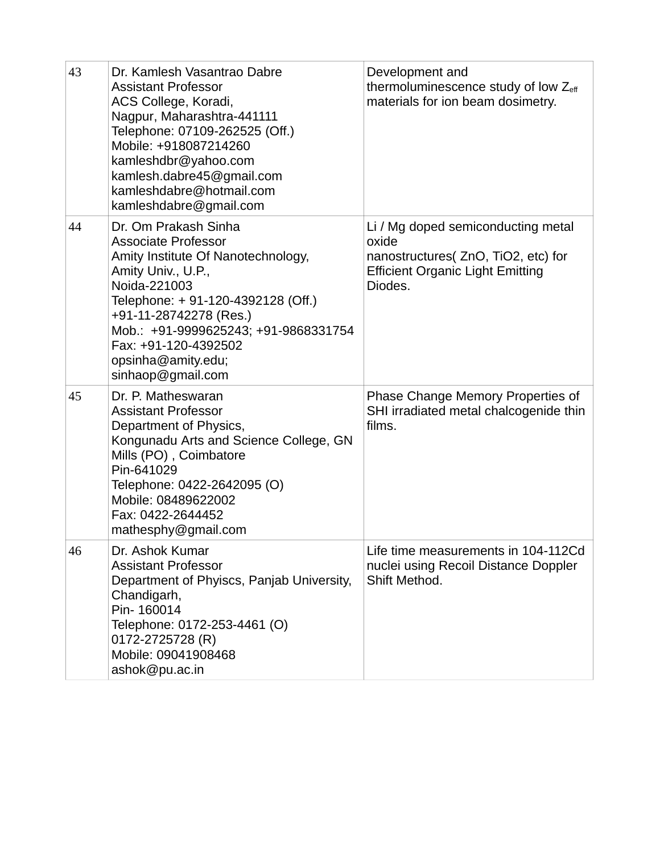| 43 | Dr. Kamlesh Vasantrao Dabre<br><b>Assistant Professor</b><br>ACS College, Koradi,<br>Nagpur, Maharashtra-441111<br>Telephone: 07109-262525 (Off.)<br>Mobile: +918087214260<br>kamleshdbr@yahoo.com<br>kamlesh.dabre45@gmail.com<br>kamleshdabre@hotmail.com<br>kamleshdabre@gmail.com                     | Development and<br>thermoluminescence study of low Zeff<br>materials for ion beam dosimetry.                                             |
|----|-----------------------------------------------------------------------------------------------------------------------------------------------------------------------------------------------------------------------------------------------------------------------------------------------------------|------------------------------------------------------------------------------------------------------------------------------------------|
| 44 | Dr. Om Prakash Sinha<br><b>Associate Professor</b><br>Amity Institute Of Nanotechnology,<br>Amity Univ., U.P.,<br>Noida-221003<br>Telephone: + 91-120-4392128 (Off.)<br>+91-11-28742278 (Res.)<br>Mob.: +91-9999625243; +91-9868331754<br>Fax: +91-120-4392502<br>opsinha@amity.edu;<br>sinhaop@gmail.com | Li / Mg doped semiconducting metal<br>oxide<br>nanostructures( ZnO, TiO2, etc) for<br><b>Efficient Organic Light Emitting</b><br>Diodes. |
| 45 | Dr. P. Matheswaran<br><b>Assistant Professor</b><br>Department of Physics,<br>Kongunadu Arts and Science College, GN<br>Mills (PO), Coimbatore<br>Pin-641029<br>Telephone: 0422-2642095 (O)<br>Mobile: 08489622002<br>Fax: 0422-2644452<br>mathesphy@gmail.com                                            | Phase Change Memory Properties of<br>SHI irradiated metal chalcogenide thin<br>films.                                                    |
| 46 | Dr. Ashok Kumar<br><b>Assistant Professor</b><br>Department of Phyiscs, Panjab University,<br>Chandigarh,<br>Pin-160014<br>Telephone: 0172-253-4461 (O)<br>0172-2725728 (R)<br>Mobile: 09041908468<br>ashok@pu.ac.in                                                                                      | Life time measurements in 104-112Cd<br>nuclei using Recoil Distance Doppler<br>Shift Method.                                             |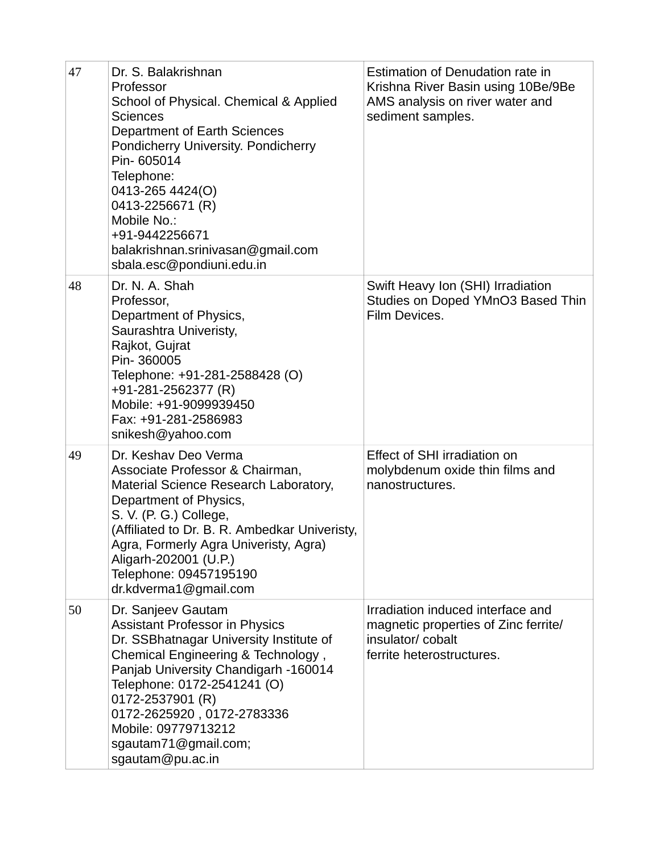| 47 | Dr. S. Balakrishnan<br>Professor<br>School of Physical. Chemical & Applied<br><b>Sciences</b><br>Department of Earth Sciences<br>Pondicherry University. Pondicherry<br>Pin-605014<br>Telephone:<br>0413-265 4424(O)<br>0413-2256671 (R)<br>Mobile No.:<br>+91-9442256671<br>balakrishnan.srinivasan@gmail.com<br>sbala.esc@pondiuni.edu.in | Estimation of Denudation rate in<br>Krishna River Basin using 10Be/9Be<br>AMS analysis on river water and<br>sediment samples. |
|----|---------------------------------------------------------------------------------------------------------------------------------------------------------------------------------------------------------------------------------------------------------------------------------------------------------------------------------------------|--------------------------------------------------------------------------------------------------------------------------------|
| 48 | Dr. N. A. Shah<br>Professor,<br>Department of Physics,<br>Saurashtra Univeristy,<br>Rajkot, Gujrat<br>Pin-360005<br>Telephone: +91-281-2588428 (O)<br>+91-281-2562377 (R)<br>Mobile: +91-9099939450<br>Fax: +91-281-2586983<br>snikesh@yahoo.com                                                                                            | Swift Heavy Ion (SHI) Irradiation<br>Studies on Doped YMnO3 Based Thin<br>Film Devices.                                        |
| 49 | Dr. Keshav Deo Verma<br>Associate Professor & Chairman,<br>Material Science Research Laboratory,<br>Department of Physics,<br>S. V. (P. G.) College,<br>(Affiliated to Dr. B. R. Ambedkar Univeristy,<br>Agra, Formerly Agra Univeristy, Agra)<br>Aligarh-202001 (U.P.)<br>Telephone: 09457195190<br>dr.kdverma1@gmail.com                  | Effect of SHI irradiation on<br>molybdenum oxide thin films and<br>nanostructures.                                             |
| 50 | Dr. Sanjeev Gautam<br><b>Assistant Professor in Physics</b><br>Dr. SSBhatnagar University Institute of<br>Chemical Engineering & Technology,<br>Panjab University Chandigarh -160014<br>Telephone: 0172-2541241 (O)<br>0172-2537901 (R)<br>0172-2625920, 0172-2783336<br>Mobile: 09779713212<br>sgautam71@gmail.com;<br>sgautam@pu.ac.in    | Irradiation induced interface and<br>magnetic properties of Zinc ferrite/<br>insulator/cobalt<br>ferrite heterostructures.     |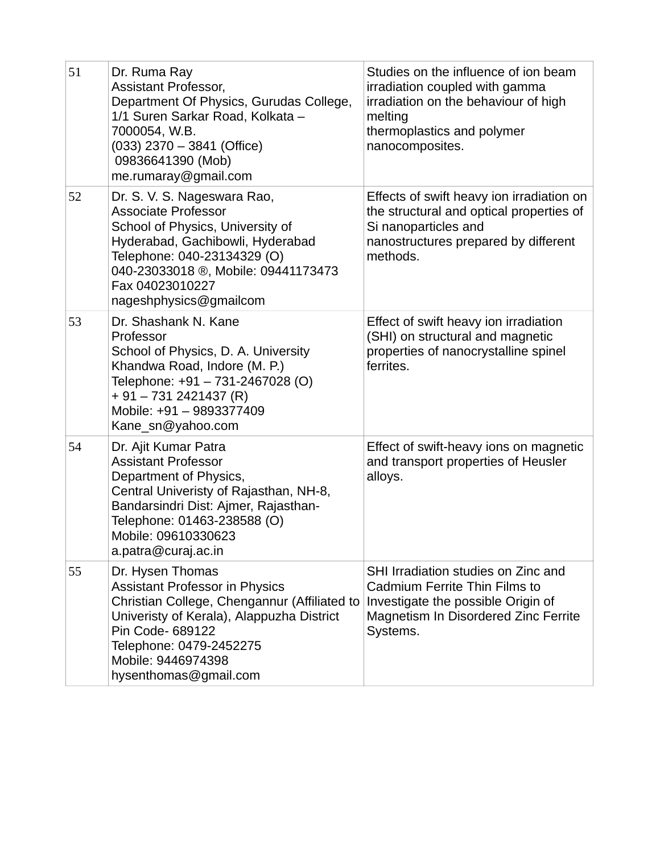| 51 | Dr. Ruma Ray<br>Assistant Professor,<br>Department Of Physics, Gurudas College,<br>1/1 Suren Sarkar Road, Kolkata -<br>7000054, W.B.<br>$(033)$ 2370 - 3841 (Office)<br>09836641390 (Mob)<br>me.rumaray@gmail.com                                    | Studies on the influence of ion beam<br>irradiation coupled with gamma<br>irradiation on the behaviour of high<br>melting<br>thermoplastics and polymer<br>nanocomposites. |
|----|------------------------------------------------------------------------------------------------------------------------------------------------------------------------------------------------------------------------------------------------------|----------------------------------------------------------------------------------------------------------------------------------------------------------------------------|
| 52 | Dr. S. V. S. Nageswara Rao,<br><b>Associate Professor</b><br>School of Physics, University of<br>Hyderabad, Gachibowli, Hyderabad<br>Telephone: 040-23134329 (O)<br>040-23033018 ®, Mobile: 09441173473<br>Fax 04023010227<br>nageshphysics@gmailcom | Effects of swift heavy ion irradiation on<br>the structural and optical properties of<br>Si nanoparticles and<br>nanostructures prepared by different<br>methods.          |
| 53 | Dr. Shashank N. Kane<br>Professor<br>School of Physics, D. A. University<br>Khandwa Road, Indore (M. P.)<br>Telephone: +91 - 731-2467028 (O)<br>$+91 - 7312421437$ (R)<br>Mobile: +91 - 9893377409<br>Kane sn@yahoo.com                              | Effect of swift heavy ion irradiation<br>(SHI) on structural and magnetic<br>properties of nanocrystalline spinel<br>ferrites.                                             |
| 54 | Dr. Ajit Kumar Patra<br><b>Assistant Professor</b><br>Department of Physics,<br>Central Univeristy of Rajasthan, NH-8,<br>Bandarsindri Dist: Ajmer, Rajasthan-<br>Telephone: 01463-238588 (O)<br>Mobile: 09610330623<br>a.patra@curaj.ac.in          | Effect of swift-heavy ions on magnetic<br>and transport properties of Heusler<br>alloys.                                                                                   |
| 55 | Dr. Hysen Thomas<br><b>Assistant Professor in Physics</b><br>Christian College, Chengannur (Affiliated to<br>Univeristy of Kerala), Alappuzha District<br>Pin Code- 689122<br>Telephone: 0479-2452275<br>Mobile: 9446974398<br>hysenthomas@gmail.com | SHI Irradiation studies on Zinc and<br>Cadmium Ferrite Thin Films to<br>Investigate the possible Origin of<br>Magnetism In Disordered Zinc Ferrite<br>Systems.             |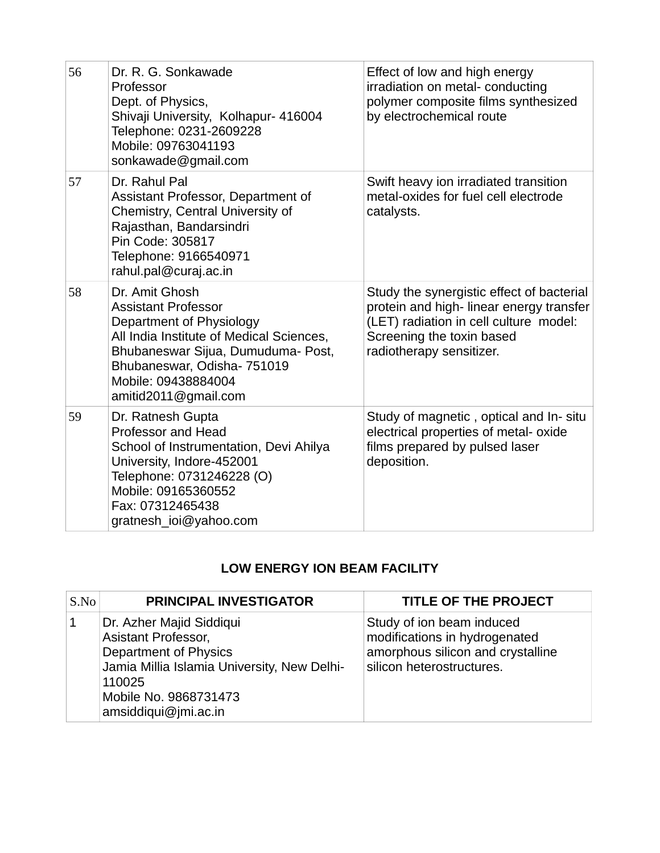| 56 | Dr. R. G. Sonkawade<br>Professor<br>Dept. of Physics,<br>Shivaji University, Kolhapur- 416004<br>Telephone: 0231-2609228<br>Mobile: 09763041193<br>sonkawade@gmail.com                                                                   | Effect of low and high energy<br>irradiation on metal-conducting<br>polymer composite films synthesized<br>by electrochemical route                                                     |
|----|------------------------------------------------------------------------------------------------------------------------------------------------------------------------------------------------------------------------------------------|-----------------------------------------------------------------------------------------------------------------------------------------------------------------------------------------|
| 57 | Dr. Rahul Pal<br>Assistant Professor, Department of<br>Chemistry, Central University of<br>Rajasthan, Bandarsindri<br>Pin Code: 305817<br>Telephone: 9166540971<br>rahul.pal@curaj.ac.in                                                 | Swift heavy ion irradiated transition<br>metal-oxides for fuel cell electrode<br>catalysts.                                                                                             |
| 58 | Dr. Amit Ghosh<br><b>Assistant Professor</b><br>Department of Physiology<br>All India Institute of Medical Sciences,<br>Bhubaneswar Sijua, Dumuduma- Post,<br>Bhubaneswar, Odisha- 751019<br>Mobile: 09438884004<br>amitid2011@gmail.com | Study the synergistic effect of bacterial<br>protein and high-linear energy transfer<br>(LET) radiation in cell culture model:<br>Screening the toxin based<br>radiotherapy sensitizer. |
| 59 | Dr. Ratnesh Gupta<br><b>Professor and Head</b><br>School of Instrumentation, Devi Ahilya<br>University, Indore-452001<br>Telephone: 0731246228 (O)<br>Mobile: 09165360552<br>Fax: 07312465438<br>gratnesh ioi@yahoo.com                  | Study of magnetic, optical and In-situ<br>electrical properties of metal- oxide<br>films prepared by pulsed laser<br>deposition.                                                        |

## **LOW ENERGY ION BEAM FACILITY**

| S.No | <b>PRINCIPAL INVESTIGATOR</b>                                                                                                                                                      | <b>TITLE OF THE PROJECT</b>                                                                                                  |
|------|------------------------------------------------------------------------------------------------------------------------------------------------------------------------------------|------------------------------------------------------------------------------------------------------------------------------|
|      | Dr. Azher Majid Siddiqui<br>Asistant Professor,<br>Department of Physics<br>Jamia Millia Islamia University, New Delhi-<br>110025<br>Mobile No. 9868731473<br>amsiddiqui@jmi.ac.in | Study of ion beam induced<br>modifications in hydrogenated<br>amorphous silicon and crystalline<br>silicon heterostructures. |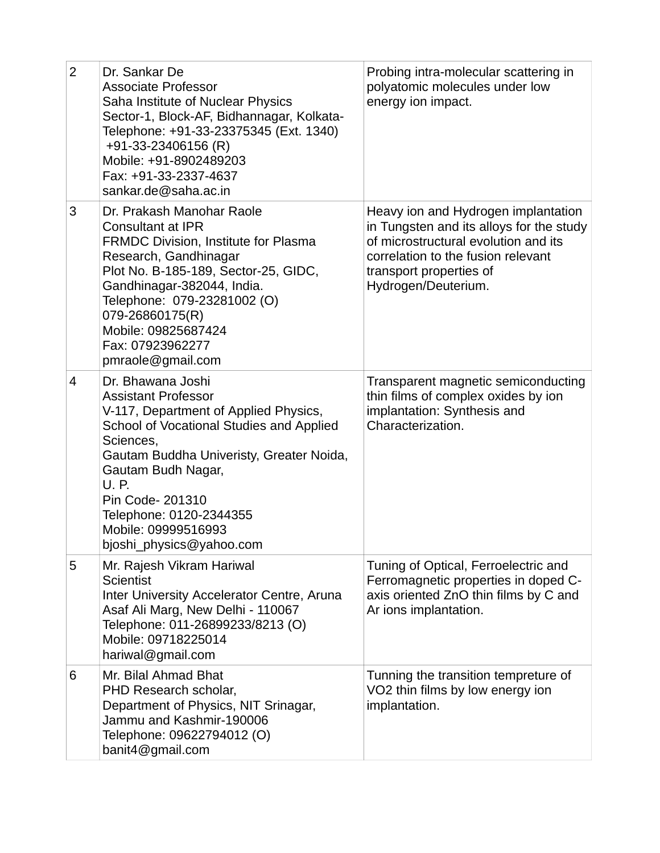| $\overline{2}$ | Dr. Sankar De<br><b>Associate Professor</b><br>Saha Institute of Nuclear Physics<br>Sector-1, Block-AF, Bidhannagar, Kolkata-<br>Telephone: +91-33-23375345 (Ext. 1340)<br>+91-33-23406156 (R)<br>Mobile: +91-8902489203<br>Fax: +91-33-2337-4637<br>sankar.de@saha.ac.in                                                     | Probing intra-molecular scattering in<br>polyatomic molecules under low<br>energy ion impact.                                                                                                                   |
|----------------|-------------------------------------------------------------------------------------------------------------------------------------------------------------------------------------------------------------------------------------------------------------------------------------------------------------------------------|-----------------------------------------------------------------------------------------------------------------------------------------------------------------------------------------------------------------|
| 3              | Dr. Prakash Manohar Raole<br>Consultant at IPR<br>FRMDC Division, Institute for Plasma<br>Research, Gandhinagar<br>Plot No. B-185-189, Sector-25, GIDC,<br>Gandhinagar-382044, India.<br>Telephone: 079-23281002 (O)<br>079-26860175(R)<br>Mobile: 09825687424<br>Fax: 07923962277<br>pmraole@gmail.com                       | Heavy ion and Hydrogen implantation<br>in Tungsten and its alloys for the study<br>of microstructural evolution and its<br>correlation to the fusion relevant<br>transport properties of<br>Hydrogen/Deuterium. |
| 4              | Dr. Bhawana Joshi<br><b>Assistant Professor</b><br>V-117, Department of Applied Physics,<br>School of Vocational Studies and Applied<br>Sciences,<br>Gautam Buddha Univeristy, Greater Noida,<br>Gautam Budh Nagar,<br>U.P.<br>Pin Code- 201310<br>Telephone: 0120-2344355<br>Mobile: 09999516993<br>bjoshi_physics@yahoo.com | Transparent magnetic semiconducting<br>thin films of complex oxides by ion<br>implantation: Synthesis and<br>Characterization.                                                                                  |
| 5              | Mr. Rajesh Vikram Hariwal<br><b>Scientist</b><br>Inter University Accelerator Centre, Aruna<br>Asaf Ali Marg, New Delhi - 110067<br>Telephone: 011-26899233/8213 (O)<br>Mobile: 09718225014<br>hariwal@gmail.com                                                                                                              | Tuning of Optical, Ferroelectric and<br>Ferromagnetic properties in doped C-<br>axis oriented ZnO thin films by C and<br>Ar ions implantation.                                                                  |
| 6              | Mr. Bilal Ahmad Bhat<br>PHD Research scholar,<br>Department of Physics, NIT Srinagar,<br>Jammu and Kashmir-190006<br>Telephone: 09622794012 (O)<br>banit4@gmail.com                                                                                                                                                           | Tunning the transition tempreture of<br>VO2 thin films by low energy ion<br>implantation.                                                                                                                       |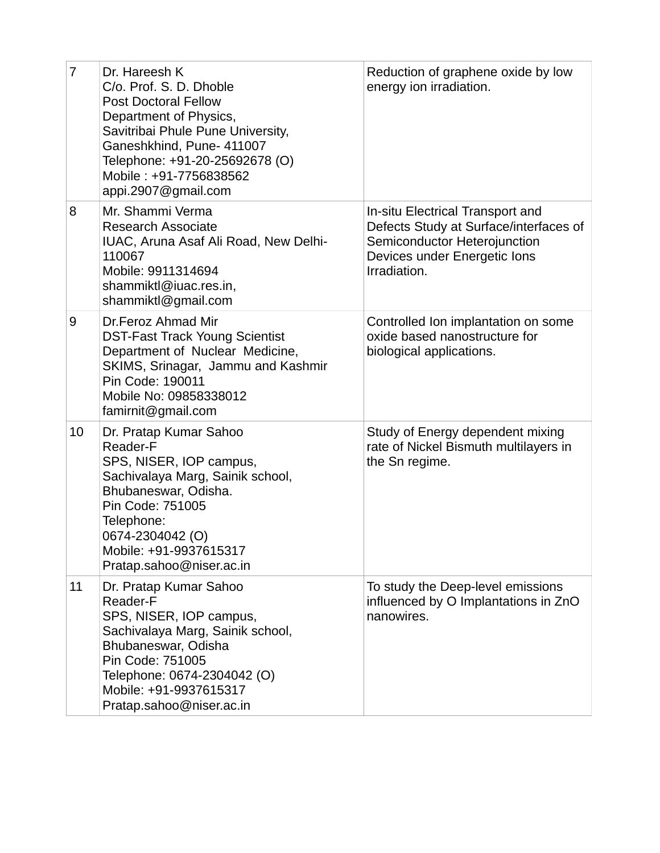| $\overline{7}$ | Dr. Hareesh K<br>C/o. Prof. S. D. Dhoble<br><b>Post Doctoral Fellow</b><br>Department of Physics,<br>Savitribai Phule Pune University,<br>Ganeshkhind, Pune- 411007<br>Telephone: +91-20-25692678 (O)<br>Mobile: +91-7756838562<br>appi.2907@gmail.com | Reduction of graphene oxide by low<br>energy ion irradiation.                                                                                              |
|----------------|--------------------------------------------------------------------------------------------------------------------------------------------------------------------------------------------------------------------------------------------------------|------------------------------------------------------------------------------------------------------------------------------------------------------------|
| 8              | Mr. Shammi Verma<br><b>Research Associate</b><br>IUAC, Aruna Asaf Ali Road, New Delhi-<br>110067<br>Mobile: 9911314694<br>shammiktl@iuac.res.in,<br>shammiktl@gmail.com                                                                                | In-situ Electrical Transport and<br>Defects Study at Surface/interfaces of<br>Semiconductor Heterojunction<br>Devices under Energetic lons<br>Irradiation. |
| 9              | Dr.Feroz Ahmad Mir<br><b>DST-Fast Track Young Scientist</b><br>Department of Nuclear Medicine,<br>SKIMS, Srinagar, Jammu and Kashmir<br>Pin Code: 190011<br>Mobile No: 09858338012<br>$f$ amirnit@gmail.com                                            | Controlled Ion implantation on some<br>oxide based nanostructure for<br>biological applications.                                                           |
| 10             | Dr. Pratap Kumar Sahoo<br>Reader-F<br>SPS, NISER, IOP campus,<br>Sachivalaya Marg, Sainik school,<br>Bhubaneswar, Odisha.<br>Pin Code: 751005<br>Telephone:<br>0674-2304042 (O)<br>Mobile: +91-9937615317<br>Pratap.sahoo@niser.ac.in                  | Study of Energy dependent mixing<br>rate of Nickel Bismuth multilayers in<br>the Sn regime.                                                                |
| 11             | Dr. Pratap Kumar Sahoo<br>Reader-F<br>SPS, NISER, IOP campus,<br>Sachivalaya Marg, Sainik school,<br>Bhubaneswar, Odisha<br>Pin Code: 751005<br>Telephone: 0674-2304042 (O)<br>Mobile: +91-9937615317<br>Pratap.sahoo@niser.ac.in                      | To study the Deep-level emissions<br>influenced by O Implantations in ZnO<br>nanowires.                                                                    |